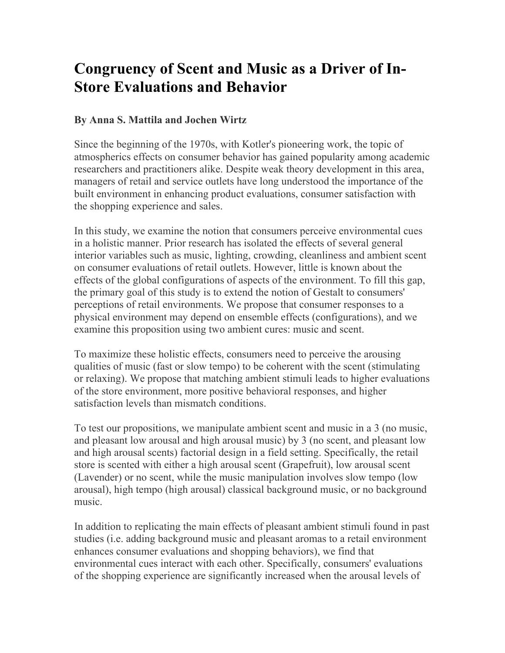## **Congruency of Scent and Music as a Driver of In-Store Evaluations and Behavior**

## **By Anna S. Mattila and Jochen Wirtz**

Since the beginning of the 1970s, with Kotler's pioneering work, the topic of atmospherics effects on consumer behavior has gained popularity among academic researchers and practitioners alike. Despite weak theory development in this area, managers of retail and service outlets have long understood the importance of the built environment in enhancing product evaluations, consumer satisfaction with the shopping experience and sales.

In this study, we examine the notion that consumers perceive environmental cues in a holistic manner. Prior research has isolated the effects of several general interior variables such as music, lighting, crowding, cleanliness and ambient scent on consumer evaluations of retail outlets. However, little is known about the effects of the global configurations of aspects of the environment. To fill this gap, the primary goal of this study is to extend the notion of Gestalt to consumers' perceptions of retail environments. We propose that consumer responses to a physical environment may depend on ensemble effects (configurations), and we examine this proposition using two ambient cures: music and scent.

To maximize these holistic effects, consumers need to perceive the arousing qualities of music (fast or slow tempo) to be coherent with the scent (stimulating or relaxing). We propose that matching ambient stimuli leads to higher evaluations of the store environment, more positive behavioral responses, and higher satisfaction levels than mismatch conditions.

To test our propositions, we manipulate ambient scent and music in a 3 (no music, and pleasant low arousal and high arousal music) by 3 (no scent, and pleasant low and high arousal scents) factorial design in a field setting. Specifically, the retail store is scented with either a high arousal scent (Grapefruit), low arousal scent (Lavender) or no scent, while the music manipulation involves slow tempo (low arousal), high tempo (high arousal) classical background music, or no background music.

In addition to replicating the main effects of pleasant ambient stimuli found in past studies (i.e. adding background music and pleasant aromas to a retail environment enhances consumer evaluations and shopping behaviors), we find that environmental cues interact with each other. Specifically, consumers' evaluations of the shopping experience are significantly increased when the arousal levels of